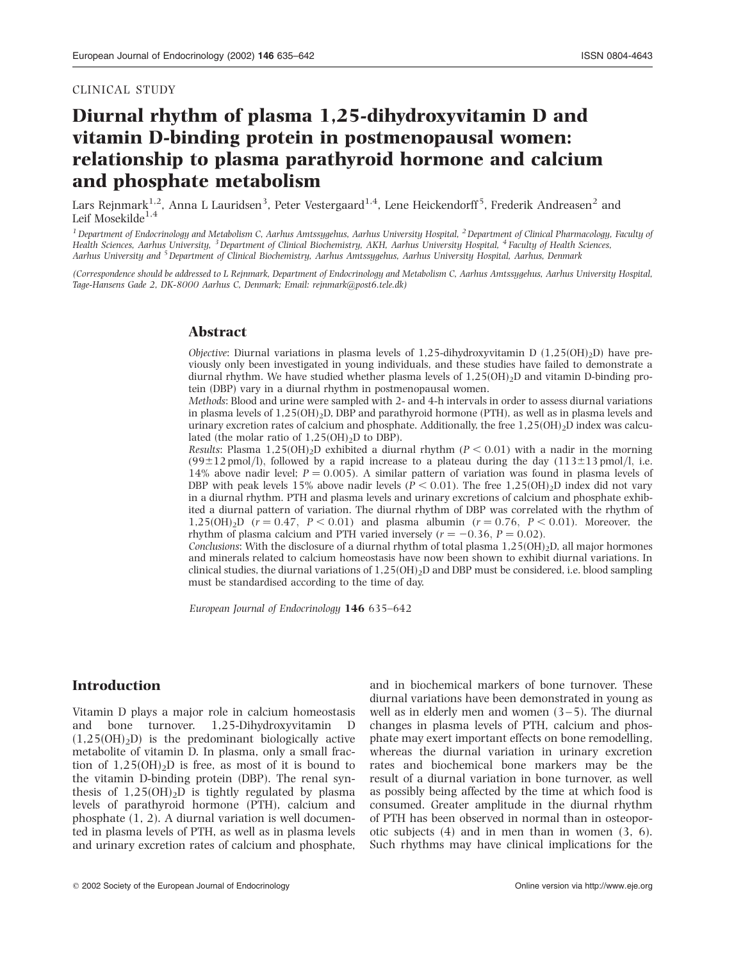#### CLINICAL STUDY

# Diurnal rhythm of plasma 1,25-dihydroxyvitamin D and vitamin D-binding protein in postmenopausal women: relationship to plasma parathyroid hormone and calcium and phosphate metabolism

Lars Rejnmark $^{1,2}$ , Anna L Lauridsen $^3$ , Peter Vestergaard $^{1,4}$ , Lene Heickendorff $^5$ , Frederik Andreasen $^2$  and Leif Mosekilde<sup>1,4</sup>

<sup>1</sup> Department of Endocrinology and Metabolism C, Aarhus Amtssygehus, Aarhus University Hospital, <sup>2</sup> Department of Clinical Pharmacology, Faculty of Health Sciences, Aarhus University, <sup>3</sup> Department of Clinical Biochemistry, AKH, Aarhus University Hospital, <sup>4</sup> Faculty of Health Sciences, Aarhus University and 5Department of Clinical Biochemistry, Aarhus Amtssygehus, Aarhus University Hospital, Aarhus, Denmark

(Correspondence should be addressed to L Rejnmark, Department of Endocrinology and Metabolism C, Aarhus Amtssygehus, Aarhus University Hospital, Tage-Hansens Gade 2, DK-8000 Aarhus C, Denmark; Email: rejnmark@post6.tele.dk)

# Abstract

Objective: Diurnal variations in plasma levels of 1,25-dihydroxyvitamin D  $(1.25(OH),D)$  have previously only been investigated in young individuals, and these studies have failed to demonstrate a diurnal rhythm. We have studied whether plasma levels of  $1,25(OH)_{2}D$  and vitamin D-binding protein (DBP) vary in a diurnal rhythm in postmenopausal women.

Methods: Blood and urine were sampled with 2- and 4-h intervals in order to assess diurnal variations in plasma levels of  $1,25(OH)_{2}$ D, DBP and parathyroid hormone (PTH), as well as in plasma levels and urinary excretion rates of calcium and phosphate. Additionally, the free  $1.25(OH)_2D$  index was calculated (the molar ratio of  $1,25(OH)<sub>2</sub>D$  to DBP).

Results: Plasma 1,25(OH)<sub>2</sub>D exhibited a diurnal rhythm ( $P < 0.01$ ) with a nadir in the morning  $(99\pm12 \text{ pmol/l})$ , followed by a rapid increase to a plateau during the day  $(113\pm13 \text{ pmol/l})$ , i.e. 14% above nadir level;  $P = 0.005$ . A similar pattern of variation was found in plasma levels of DBP with peak levels 15% above nadir levels  $(P < 0.01)$ . The free 1,25(OH)<sub>2</sub>D index did not vary in a diurnal rhythm. PTH and plasma levels and urinary excretions of calcium and phosphate exhibited a diurnal pattern of variation. The diurnal rhythm of DBP was correlated with the rhythm of 1,25(OH)<sub>2</sub>D ( $r = 0.47$ ,  $P < 0.01$ ) and plasma albumin ( $r = 0.76$ ,  $P < 0.01$ ). Moreover, the rhythm of plasma calcium and PTH varied inversely  $(r = -0.36, P = 0.02)$ .

Conclusions: With the disclosure of a diurnal rhythm of total plasma  $1.25(OH)_{2}D$ , all major hormones and minerals related to calcium homeostasis have now been shown to exhibit diurnal variations. In clinical studies, the diurnal variations of  $1.25(OH)<sub>2</sub>D$  and DBP must be considered, i.e. blood sampling must be standardised according to the time of day.

European Journal of Endocrinology 146 635–642

# Introduction

Vitamin D plays a major role in calcium homeostasis and bone turnover. 1,25-Dihydroxyvitamin D  $(1,25(OH)<sub>2</sub>D)$  is the predominant biologically active metabolite of vitamin D. In plasma, only a small fraction of  $1,25(OH)_{2}D$  is free, as most of it is bound to the vitamin D-binding protein (DBP). The renal synthesis of  $1,25(OH)_2D$  is tightly regulated by plasma levels of parathyroid hormone (PTH), calcium and phosphate (1, 2). A diurnal variation is well documented in plasma levels of PTH, as well as in plasma levels and urinary excretion rates of calcium and phosphate,

and in biochemical markers of bone turnover. These diurnal variations have been demonstrated in young as well as in elderly men and women  $(3-5)$ . The diurnal changes in plasma levels of PTH, calcium and phosphate may exert important effects on bone remodelling, whereas the diurnal variation in urinary excretion rates and biochemical bone markers may be the result of a diurnal variation in bone turnover, as well as possibly being affected by the time at which food is consumed. Greater amplitude in the diurnal rhythm of PTH has been observed in normal than in osteoporotic subjects (4) and in men than in women (3, 6). Such rhythms may have clinical implications for the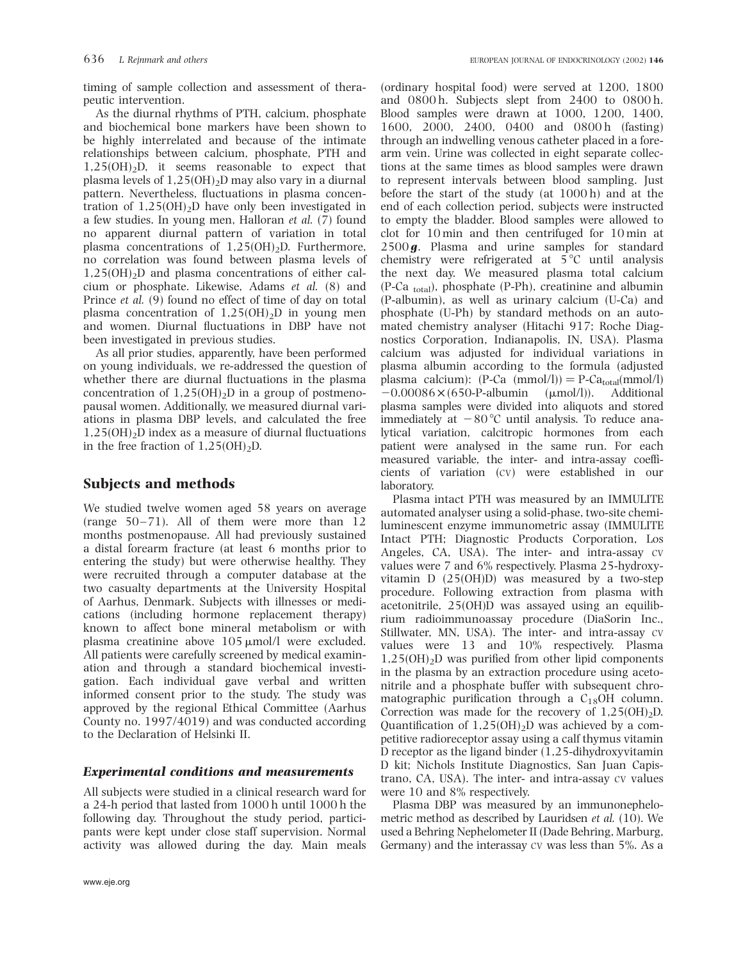timing of sample collection and assessment of therapeutic intervention.

As the diurnal rhythms of PTH, calcium, phosphate and biochemical bone markers have been shown to be highly interrelated and because of the intimate relationships between calcium, phosphate, PTH and  $1,25(OH)<sub>2</sub>D$ , it seems reasonable to expect that plasma levels of  $1,25(OH)_2D$  may also vary in a diurnal pattern. Nevertheless, fluctuations in plasma concentration of  $1,25(OH)<sub>2</sub>D$  have only been investigated in a few studies. In young men, Halloran et al. (7) found no apparent diurnal pattern of variation in total plasma concentrations of  $1,25(OH)_2D$ . Furthermore, no correlation was found between plasma levels of  $1,25(OH)<sub>2</sub>D$  and plasma concentrations of either calcium or phosphate. Likewise, Adams et al. (8) and Prince et al. (9) found no effect of time of day on total plasma concentration of  $1,25(OH)_2D$  in young men and women. Diurnal fluctuations in DBP have not been investigated in previous studies.

As all prior studies, apparently, have been performed on young individuals, we re-addressed the question of whether there are diurnal fluctuations in the plasma concentration of  $1,25(OH)_2D$  in a group of postmenopausal women. Additionally, we measured diurnal variations in plasma DBP levels, and calculated the free  $1,25(OH)<sub>2</sub>D$  index as a measure of diurnal fluctuations in the free fraction of  $1,25(OH)<sub>2</sub>D$ .

# Subjects and methods

We studied twelve women aged 58 years on average (range 50–71). All of them were more than 12 months postmenopause. All had previously sustained a distal forearm fracture (at least 6 months prior to entering the study) but were otherwise healthy. They were recruited through a computer database at the two casualty departments at the University Hospital of Aarhus, Denmark. Subjects with illnesses or medications (including hormone replacement therapy) known to affect bone mineral metabolism or with plasma creatinine above  $105 \mu$ mol/l were excluded. All patients were carefully screened by medical examination and through a standard biochemical investigation. Each individual gave verbal and written informed consent prior to the study. The study was approved by the regional Ethical Committee (Aarhus County no. 1997/4019) and was conducted according to the Declaration of Helsinki II.

# Experimental conditions and measurements

All subjects were studied in a clinical research ward for a 24-h period that lasted from 1000 h until 1000 h the following day. Throughout the study period, participants were kept under close staff supervision. Normal activity was allowed during the day. Main meals

(ordinary hospital food) were served at 1200, 1800 and 0800 h. Subjects slept from 2400 to 0800 h. Blood samples were drawn at 1000, 1200, 1400, 1600, 2000, 2400, 0400 and 0800h (fasting) through an indwelling venous catheter placed in a forearm vein. Urine was collected in eight separate collections at the same times as blood samples were drawn to represent intervals between blood sampling. Just before the start of the study (at 1000 h) and at the end of each collection period, subjects were instructed to empty the bladder. Blood samples were allowed to clot for 10 min and then centrifuged for 10 min at  $2500 g$ . Plasma and urine samples for standard chemistry were refrigerated at  $5^{\circ}$ C until analysis the next day. We measured plasma total calcium (P-Ca total), phosphate (P-Ph), creatinine and albumin (P-albumin), as well as urinary calcium (U-Ca) and phosphate (U-Ph) by standard methods on an automated chemistry analyser (Hitachi 917; Roche Diagnostics Corporation, Indianapolis, IN, USA). Plasma calcium was adjusted for individual variations in plasma albumin according to the formula (adjusted plasma calcium):  $(P-Ca (mmol/l)) = P-Ca_{total}(mmol/l)$  $-0.00086 \times (650-P-albumin \t(\mu mol/l)).$  Additional plasma samples were divided into aliquots and stored immediately at  $-80^{\circ}$ C until analysis. To reduce analytical variation, calcitropic hormones from each patient were analysed in the same run. For each measured variable, the inter- and intra-assay coefficients of variation (CV) were established in our laboratory.

Plasma intact PTH was measured by an IMMULITE automated analyser using a solid-phase, two-site chemiluminescent enzyme immunometric assay (IMMULITE Intact PTH; Diagnostic Products Corporation, Los Angeles, CA, USA). The inter- and intra-assay CV values were 7 and 6% respectively. Plasma 25-hydroxyvitamin  $D(25(OH)D)$  was measured by a two-step procedure. Following extraction from plasma with acetonitrile, 25(OH)D was assayed using an equilibrium radioimmunoassay procedure (DiaSorin Inc., Stillwater, MN, USA). The inter- and intra-assay CV values were 13 and 10% respectively. Plasma  $1,25(OH)<sub>2</sub>D$  was purified from other lipid components in the plasma by an extraction procedure using acetonitrile and a phosphate buffer with subsequent chromatographic purification through a  $C_{18}$ OH column. Correction was made for the recovery of  $1,25(OH)<sub>2</sub>D$ . Quantification of  $1,25(OH)_2D$  was achieved by a competitive radioreceptor assay using a calf thymus vitamin D receptor as the ligand binder (1,25-dihydroxyvitamin D kit; Nichols Institute Diagnostics, San Juan Capistrano, CA, USA). The inter- and intra-assay CV values were 10 and 8% respectively.

Plasma DBP was measured by an immunonephelometric method as described by Lauridsen et al. (10). We used a Behring Nephelometer II (Dade Behring, Marburg, Germany) and the interassay CV was less than 5%. As a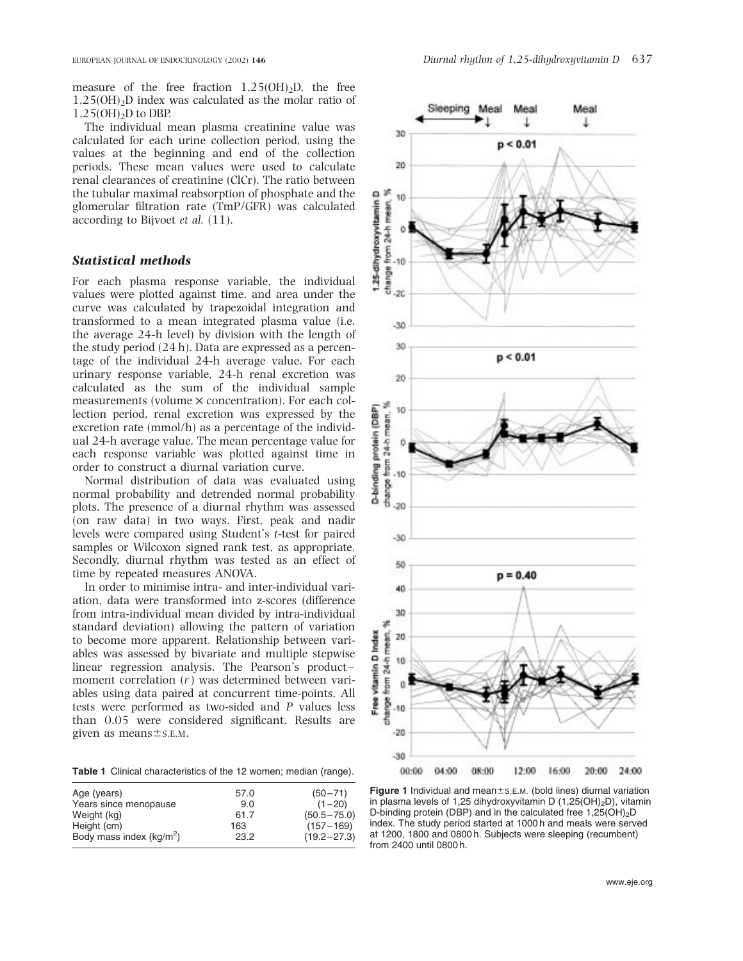measure of the free fraction  $1,25(OH)_2D$ , the free  $1,25(OH)<sub>2</sub>D$  index was calculated as the molar ratio of  $1,25(OH)<sub>2</sub>D$  to DBP.

The individual mean plasma creatinine value was calculated for each urine collection period, using the values at the beginning and end of the collection periods. These mean values were used to calculate renal clearances of creatinine (ClCr). The ratio between the tubular maximal reabsorption of phosphate and the glomerular filtration rate (TmP/GFR) was calculated according to Bijvoet et al. (11).

#### Statistical methods

For each plasma response variable, the individual values were plotted against time, and area under the curve was calculated by trapezoidal integration and transformed to a mean integrated plasma value (i.e. the average 24-h level) by division with the length of the study period (24 h). Data are expressed as a percentage of the individual 24-h average value. For each urinary response variable, 24-h renal excretion was calculated as the sum of the individual sample measurements (volume  $\times$  concentration). For each collection period, renal excretion was expressed by the excretion rate (mmol/h) as a percentage of the individual 24-h average value. The mean percentage value for each response variable was plotted against time in order to construct a diurnal variation curve.

Normal distribution of data was evaluated using normal probability and detrended normal probability plots. The presence of a diurnal rhythm was assessed (on raw data) in two ways. First, peak and nadir levels were compared using Student's t-test for paired samples or Wilcoxon signed rank test, as appropriate. Secondly, diurnal rhythm was tested as an effect of time by repeated measures ANOVA.

In order to minimise intra- and inter-individual variation, data were transformed into z-scores (difference from intra-individual mean divided by intra-individual standard deviation) allowing the pattern of variation to become more apparent. Relationship between variables was assessed by bivariate and multiple stepwise linear regression analysis. The Pearson's productmoment correlation (r) was determined between variables using data paired at concurrent time-points. All tests were performed as two-sided and P values less than 0.05 were considered significant. Results are given as means $\pm$ s.E.M.

Table 1 Clinical characteristics of the 12 women; median (range).

| Age (years)                | 57.0 | $(50 - 71)$     |
|----------------------------|------|-----------------|
| Years since menopause      | 9.0  | $(1 - 20)$      |
| Weight (kg)                | 61.7 | $(50.5 - 75.0)$ |
| Height (cm)                | 163  | $(157 - 169)$   |
| Body mass index $(kq/m^2)$ | 23.2 | $(19.2 - 27.3)$ |
|                            |      |                 |



**Figure 1** Individual and mean $\pm$ s.E.M. (bold lines) diurnal variation in plasma levels of 1,25 dihydroxyvitamin D  $(1,25(OH)_2D)$ , vitamin D-binding protein (DBP) and in the calculated free  $1,25(OH)_{2}D$ index. The study period started at 1000 h and meals were served at 1200, 1800 and 0800 h. Subjects were sleeping (recumbent) from 2400 until 0800 h.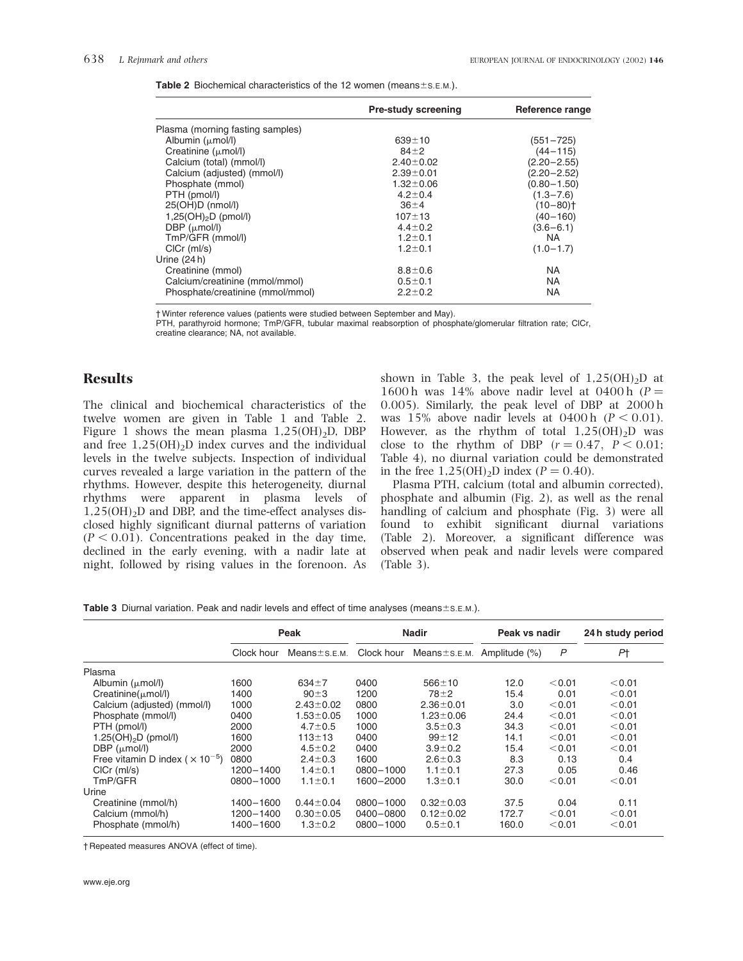|  |  |  |  |  |  | <b>Table 2</b> Biochemical characteristics of the 12 women (means $\pm$ s.E.M.). |  |
|--|--|--|--|--|--|----------------------------------------------------------------------------------|--|
|--|--|--|--|--|--|----------------------------------------------------------------------------------|--|

|                                  | <b>Pre-study screening</b> | Reference range          |
|----------------------------------|----------------------------|--------------------------|
| Plasma (morning fasting samples) |                            |                          |
| Albumin $(\mu \text{mol/l})$     | $639 \pm 10$               | $(551 - 725)$            |
| Creatinine $(\mu \text{mol/l})$  | $84 + 2$                   | $(44 - 115)$             |
| Calcium (total) (mmol/l)         | $2.40 \pm 0.02$            | $(2.20 - 2.55)$          |
| Calcium (adjusted) (mmol/l)      | $2.39 \pm 0.01$            | $(2.20 - 2.52)$          |
| Phosphate (mmol)                 | $1.32 \pm 0.06$            | $(0.80 - 1.50)$          |
| PTH (pmol/l)                     | $4.2 \pm 0.4$              | $(1.3 - 7.6)$            |
| 25(OH)D (nmol/l)                 | $36 + 4$                   | $(10 - 80)$ <sup>+</sup> |
| $1,25(OH)_{2}D$ (pmol/l)         | $107 + 13$                 | $(40 - 160)$             |
| DBP $(\mu \text{mol/l})$         | $4.4 \pm 0.2$              | $(3.6 - 6.1)$            |
| TmP/GFR (mmol/l)                 | $1.2 \pm 0.1$              | <b>NA</b>                |
| $ClCr$ (ml/s)                    | $1.2 \pm 0.1$              | $(1.0 - 1.7)$            |
| Urine $(24 h)$                   |                            |                          |
| Creatinine (mmol)                | $8.8 \pm 0.6$              | <b>NA</b>                |
| Calcium/creatinine (mmol/mmol)   | $0.5 \pm 0.1$              | <b>NA</b>                |
| Phosphate/creatinine (mmol/mmol) | $2.2 \pm 0.2$              | NA                       |

† Winter reference values (patients were studied between September and May).

PTH, parathyroid hormone; TmP/GFR, tubular maximal reabsorption of phosphate/glomerular filtration rate; ClCr, creatine clearance; NA, not available.

# **Results**

The clinical and biochemical characteristics of the twelve women are given in Table 1 and Table 2. Figure 1 shows the mean plasma  $1,25(OH)_{2}D$ , DBP and free  $1,25(OH)_{2}D$  index curves and the individual levels in the twelve subjects. Inspection of individual curves revealed a large variation in the pattern of the rhythms. However, despite this heterogeneity, diurnal rhythms were apparent in plasma levels of  $1,25(OH)<sub>2</sub>D$  and DBP, and the time-effect analyses disclosed highly significant diurnal patterns of variation  $(P < 0.01)$ . Concentrations peaked in the day time, declined in the early evening, with a nadir late at night, followed by rising values in the forenoon. As shown in Table 3, the peak level of  $1,25(OH)<sub>2</sub>D$  at 1600 h was 14% above nadir level at 0400 h  $(P =$ 0.005). Similarly, the peak level of DBP at 2000 h was 15% above nadir levels at 0400 h  $(P < 0.01)$ . However, as the rhythm of total  $1,25(OH)_2D$  was close to the rhythm of DBP  $(r = 0.47, P < 0.01;$ Table 4), no diurnal variation could be demonstrated in the free  $1,25(OH)_{2}D$  index  $(P = 0.40)$ .

Plasma PTH, calcium (total and albumin corrected), phosphate and albumin (Fig. 2), as well as the renal handling of calcium and phosphate (Fig. 3) were all found to exhibit significant diurnal variations (Table 2). Moreover, a significant difference was observed when peak and nadir levels were compared (Table 3).

Table 3 Diurnal variation. Peak and nadir levels and effect of time analyses (means ± s.E.M.).

|                                                    | Peak          |                           | <b>Nadir</b> |                           | Peak vs nadir |        | 24 h study period |  |
|----------------------------------------------------|---------------|---------------------------|--------------|---------------------------|---------------|--------|-------------------|--|
|                                                    | Clock hour    | $Means \pm s.\text{E.M.}$ | Clock hour   | $Means \pm s.\text{E.M.}$ | Amplitude (%) | P      | P†                |  |
| Plasma                                             |               |                           |              |                           |               |        |                   |  |
| Albumin $(\mu \text{mol/l})$                       | 1600          | $634 + 7$                 | 0400         | $566 \pm 10$              | 12.0          | < 0.01 | < 0.01            |  |
| $Create$ ( $\mu$ mol/l)                            | 1400          | $90 \pm 3$                | 1200         | $78 + 2$                  | 15.4          | 0.01   | < 0.01            |  |
| Calcium (adjusted) (mmol/l)                        | 1000          | $2.43 \pm 0.02$           | 0800         | $2.36 \pm 0.01$           | 3.0           | < 0.01 | < 0.01            |  |
| Phosphate (mmol/l)                                 | 0400          | $1.53 \pm 0.05$           | 1000         | $1.23 \pm 0.06$           | 24.4          | < 0.01 | < 0.01            |  |
| PTH (pmol/l)                                       | 2000          | $4.7 \pm 0.5$             | 1000         | $3.5 \pm 0.3$             | 34.3          | < 0.01 | < 0.01            |  |
| $1.25(OH)_{2}D$ (pmol/l)                           | 1600          | $113 + 13$                | 0400         | $99 + 12$                 | 14.1          | < 0.01 | < 0.01            |  |
| DBP $(\mu \text{mol/l})$                           | 2000          | $4.5 \pm 0.2$             | 0400         | $3.9 \pm 0.2$             | 15.4          | < 0.01 | < 0.01            |  |
| Free vitamin D index ( $\times$ 10 <sup>-5</sup> ) | 0800          | $2.4 \pm 0.3$             | 1600         | $2.6 \pm 0.3$             | 8.3           | 0.13   | 0.4               |  |
| $ClCr$ (ml/s)                                      | 1200-1400     | $1.4 \pm 0.1$             | 0800-1000    | $1.1 \pm 0.1$             | 27.3          | 0.05   | 0.46              |  |
| TmP/GFR                                            | $0800 - 1000$ | $1.1 \pm 0.1$             | 1600-2000    | $1.3 \pm 0.1$             | 30.0          | < 0.01 | < 0.01            |  |
| Urine                                              |               |                           |              |                           |               |        |                   |  |
| Creatinine (mmol/h)                                | 1400-1600     | $0.44 \pm 0.04$           | 0800-1000    | $0.32 \pm 0.03$           | 37.5          | 0.04   | 0.11              |  |
| Calcium (mmol/h)                                   | 1200-1400     | $0.30 \pm 0.05$           | 0400-0800    | $0.12 \pm 0.02$           | 172.7         | < 0.01 | < 0.01            |  |
| Phosphate (mmol/h)                                 | 1400-1600     | $1.3 \pm 0.2$             | 0800-1000    | $0.5 + 0.1$               | 160.0         | < 0.01 | < 0.01            |  |

† Repeated measures ANOVA (effect of time).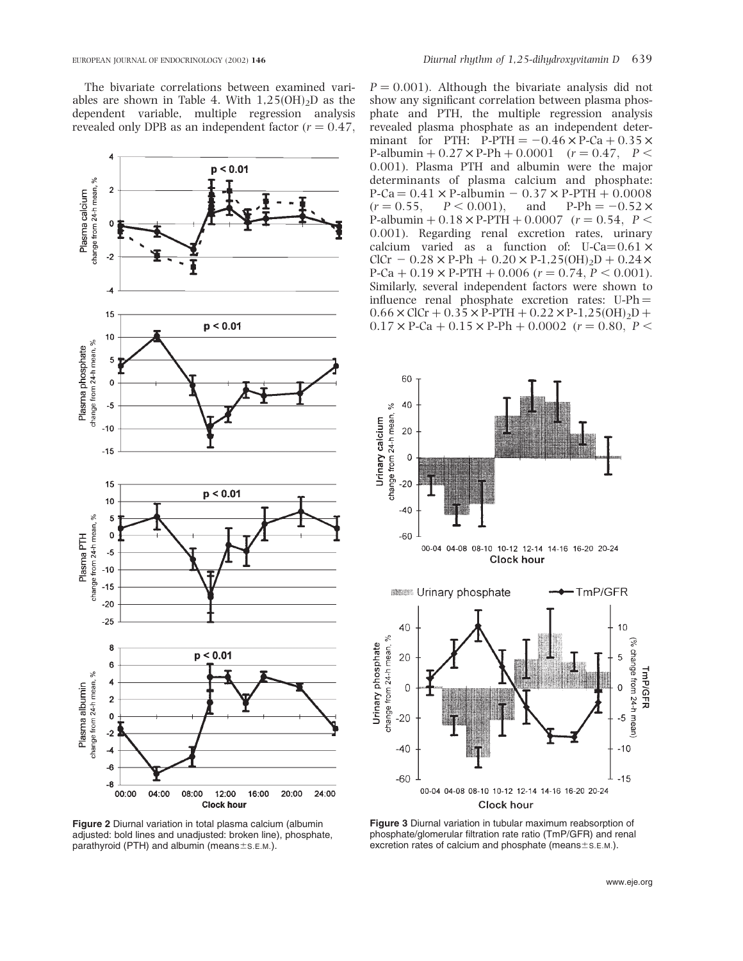The bivariate correlations between examined variables are shown in Table 4. With  $1,25(OH)_2D$  as the dependent variable, multiple regression analysis revealed only DPB as an independent factor  $(r = 0.47)$ ,



Figure 2 Diurnal variation in total plasma calcium (albumin adjusted: bold lines and unadjusted: broken line), phosphate, parathyroid (PTH) and albumin (means $\pm$ s.E.M.).

 $P = 0.001$ ). Although the bivariate analysis did not show any significant correlation between plasma phosphate and PTH, the multiple regression analysis revealed plasma phosphate as an independent determinant for PTH:  $P-PTH = -0.46 \times P-Ca + 0.35 \times$ P-albumin +  $0.27 \times$  P-Ph +  $0.0001$  ( $r = 0.47$ ,  $P$  < 0.001). Plasma PTH and albumin were the major determinants of plasma calcium and phosphate:  $P-Ca = 0.41 \times P$ -albumin  $- 0.37 \times P$ -PTH  $+ 0.0008$  $(r = 0.55, P < 0.001)$ , and P-Ph = -0.52  $\times$ P-albumin +  $0.18 \times$  P-PTH +  $0.0007$  ( $r = 0.54$ ,  $P$  < 0.001). Regarding renal excretion rates, urinary calcium varied as a function of: U-Ca= $0.61 \times$  $CICr - 0.28 \times P-Ph + 0.20 \times P-1,25(OH)<sub>2</sub>D + 0.24 \times$  $P-Ca + 0.19 \times P-PTH + 0.006$  ( $r = 0.74$ ,  $P < 0.001$ ). Similarly, several independent factors were shown to influence renal phosphate excretion rates:  $U-Ph =$  $0.66 \times$  ClCr + 0.35  $\times$  P-PTH + 0.22  $\times$  P-1,25(OH)<sub>2</sub>D +  $0.17 \times P\text{-Ca} + 0.15 \times P\text{-Ph} + 0.0002$  ( $r = 0.80, P \le$ 



Figure 3 Diurnal variation in tubular maximum reabsorption of phosphate/glomerular filtration rate ratio (TmP/GFR) and renal excretion rates of calcium and phosphate (means $\pm$ s.E.M.).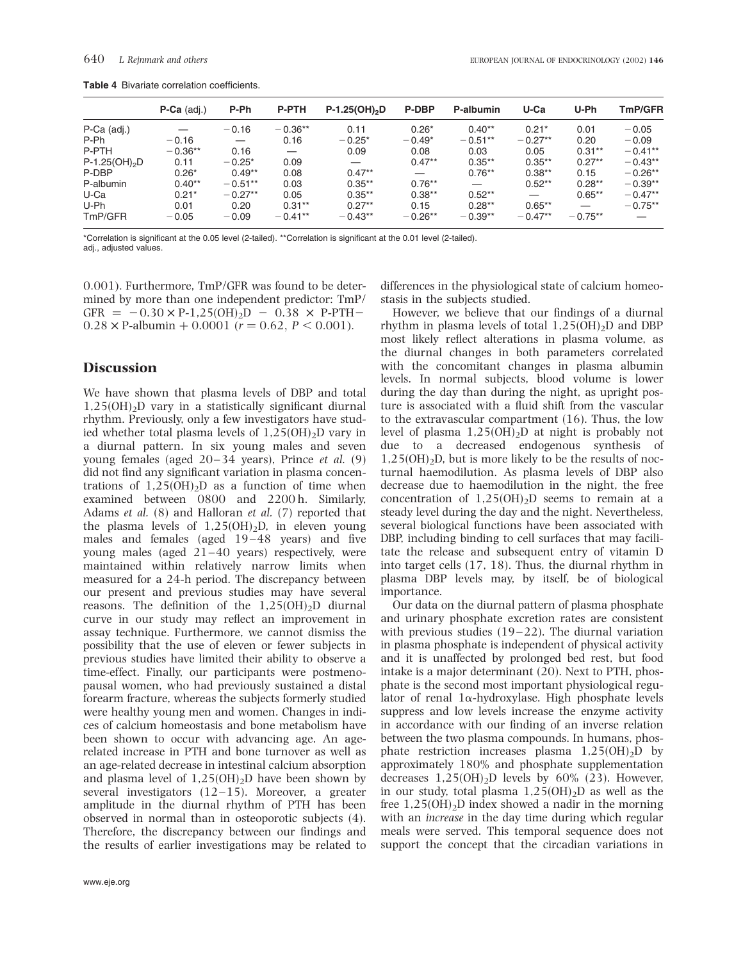|                   | $P-Ca$ (adj.) | P-Ph              | <b>P-PTH</b> | $P-1.25(OH)_{2}D$ | <b>P-DBP</b> | P-albumin | $U$ -Ca                  | U-Ph      | <b>TmP/GFR</b> |
|-------------------|---------------|-------------------|--------------|-------------------|--------------|-----------|--------------------------|-----------|----------------|
| P-Ca (adj.)       |               | $-0.16$           | $-0.36**$    | 0.11              | $0.26*$      | $0.40**$  | $0.21*$                  | 0.01      | $-0.05$        |
| P-Ph              | $-0.16$       | $\hspace{0.05cm}$ | 0.16         | $-0.25*$          | $-0.49*$     | $-0.51**$ | $-0.27**$                | 0.20      | $-0.09$        |
| P-PTH             | $-0.36**$     | 0.16              |              | 0.09              | 0.08         | 0.03      | 0.05                     | $0.31**$  | $-0.41**$      |
| $P-1.25(OH)_{2}D$ | 0.11          | $-0.25*$          | 0.09         |                   | $0.47**$     | $0.35***$ | $0.35***$                | $0.27**$  | $-0.43**$      |
| P-DBP             | $0.26*$       | $0.49**$          | 0.08         | $0.47**$          |              | $0.76**$  | $0.38**$                 | 0.15      | $-0.26**$      |
| P-albumin         | $0.40**$      | $-0.51**$         | 0.03         | $0.35**$          | $0.76***$    |           | $0.52**$                 | $0.28**$  | $-0.39**$      |
| U-Ca              | $0.21*$       | $-0.27**$         | 0.05         | $0.35**$          | $0.38**$     | $0.52**$  | $\overline{\phantom{0}}$ | $0.65***$ | $-0.47**$      |
| U-Ph              | 0.01          | 0.20              | $0.31**$     | $0.27**$          | 0.15         | $0.28**$  | $0.65**$                 |           | $-0.75**$      |
| TmP/GFR           | $-0.05$       | $-0.09$           | $-0.41**$    | $-0.43**$         | $-0.26**$    | $-0.39**$ | $-0.47**$                | $-0.75**$ |                |

Table 4 Bivariate correlation coefficients.

\*Correlation is significant at the 0.05 level (2-tailed). \*\*Correlation is significant at the 0.01 level (2-tailed).

adi., adjusted values.

0.001). Furthermore, TmP/GFR was found to be determined by more than one independent predictor: TmP/ GFR =  $-0.30 \times P-1.25(OH)_2D - 0.38 \times P-PTH$  $0.28 \times$  P-albumin + 0.0001 ( $r = 0.62$ ,  $P < 0.001$ ).

# **Discussion**

We have shown that plasma levels of DBP and total  $1,25(OH)<sub>2</sub>D$  vary in a statistically significant diurnal rhythm. Previously, only a few investigators have studied whether total plasma levels of  $1,25(OH)<sub>2</sub>D$  vary in a diurnal pattern. In six young males and seven young females (aged 20–34 years), Prince et al. (9) did not find any significant variation in plasma concentrations of  $1,25(OH)<sub>2</sub>D$  as a function of time when examined between 0800 and 2200 h. Similarly, Adams et al. (8) and Halloran et al. (7) reported that the plasma levels of  $1,25(OH)_2D$ , in eleven young males and females (aged 19–48 years) and five young males (aged 21–40 years) respectively, were maintained within relatively narrow limits when measured for a 24-h period. The discrepancy between our present and previous studies may have several reasons. The definition of the  $1,25(OH)_2D$  diurnal curve in our study may reflect an improvement in assay technique. Furthermore, we cannot dismiss the possibility that the use of eleven or fewer subjects in previous studies have limited their ability to observe a time-effect. Finally, our participants were postmenopausal women, who had previously sustained a distal forearm fracture, whereas the subjects formerly studied were healthy young men and women. Changes in indices of calcium homeostasis and bone metabolism have been shown to occur with advancing age. An agerelated increase in PTH and bone turnover as well as an age-related decrease in intestinal calcium absorption and plasma level of  $1,25(OH)_2D$  have been shown by several investigators  $(12-15)$ . Moreover, a greater amplitude in the diurnal rhythm of PTH has been observed in normal than in osteoporotic subjects (4). Therefore, the discrepancy between our findings and the results of earlier investigations may be related to

differences in the physiological state of calcium homeostasis in the subjects studied.

However, we believe that our findings of a diurnal rhythm in plasma levels of total  $1,25(OH)_2D$  and DBP most likely reflect alterations in plasma volume, as the diurnal changes in both parameters correlated with the concomitant changes in plasma albumin levels. In normal subjects, blood volume is lower during the day than during the night, as upright posture is associated with a fluid shift from the vascular to the extravascular compartment (16). Thus, the low level of plasma  $1.25(OH)_{2}D$  at night is probably not due to a decreased endogenous synthesis of  $1,25(OH)<sub>2</sub>D$ , but is more likely to be the results of nocturnal haemodilution. As plasma levels of DBP also decrease due to haemodilution in the night, the free concentration of  $1,25(OH)<sub>2</sub>D$  seems to remain at a steady level during the day and the night. Nevertheless, several biological functions have been associated with DBP, including binding to cell surfaces that may facilitate the release and subsequent entry of vitamin D into target cells (17, 18). Thus, the diurnal rhythm in plasma DBP levels may, by itself, be of biological importance.

Our data on the diurnal pattern of plasma phosphate and urinary phosphate excretion rates are consistent with previous studies  $(19-22)$ . The diurnal variation in plasma phosphate is independent of physical activity and it is unaffected by prolonged bed rest, but food intake is a major determinant (20). Next to PTH, phosphate is the second most important physiological regulator of renal  $1\alpha$ -hydroxylase. High phosphate levels suppress and low levels increase the enzyme activity in accordance with our finding of an inverse relation between the two plasma compounds. In humans, phosphate restriction increases plasma  $1,25(OH)_{2}D$  by approximately 180% and phosphate supplementation decreases  $1,25(OH)_{2}D$  levels by 60% (23). However, in our study, total plasma  $1,25(OH)_{2}D$  as well as the free  $1,25(OH)<sub>2</sub>D$  index showed a nadir in the morning with an increase in the day time during which regular meals were served. This temporal sequence does not support the concept that the circadian variations in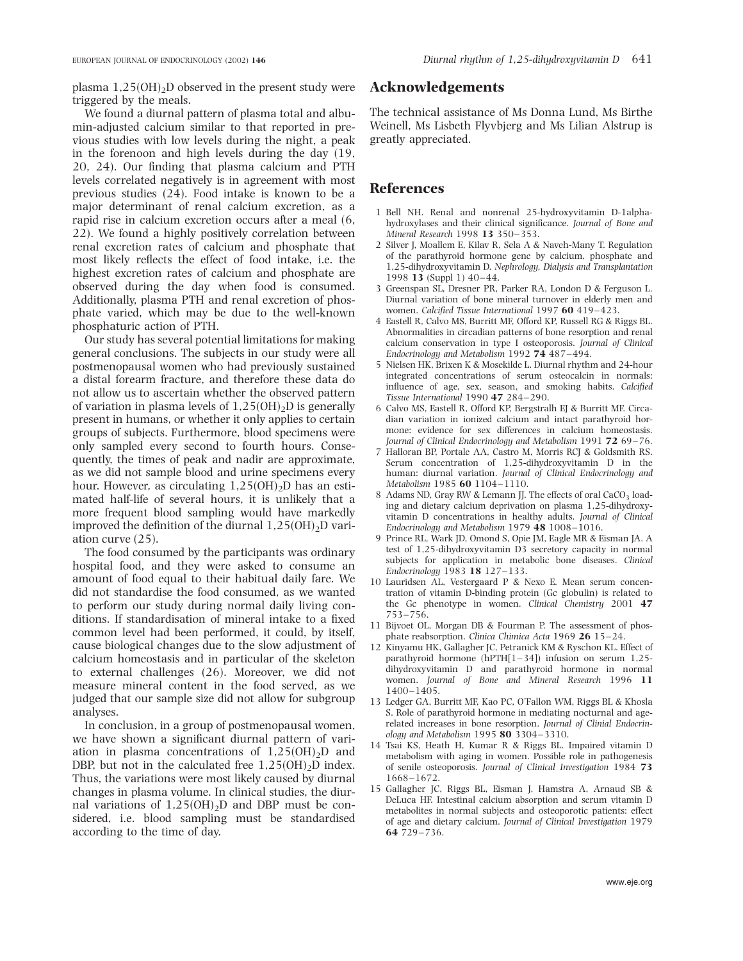plasma  $1,25(OH)<sub>2</sub>D$  observed in the present study were triggered by the meals.

We found a diurnal pattern of plasma total and albumin-adjusted calcium similar to that reported in previous studies with low levels during the night, a peak in the forenoon and high levels during the day (19, 20, 24). Our finding that plasma calcium and PTH levels correlated negatively is in agreement with most previous studies (24). Food intake is known to be a major determinant of renal calcium excretion, as a rapid rise in calcium excretion occurs after a meal (6, 22). We found a highly positively correlation between renal excretion rates of calcium and phosphate that most likely reflects the effect of food intake, i.e. the highest excretion rates of calcium and phosphate are observed during the day when food is consumed. Additionally, plasma PTH and renal excretion of phosphate varied, which may be due to the well-known phosphaturic action of PTH.

Our study has several potential limitations for making general conclusions. The subjects in our study were all postmenopausal women who had previously sustained a distal forearm fracture, and therefore these data do not allow us to ascertain whether the observed pattern of variation in plasma levels of  $1,25(OH)_2D$  is generally present in humans, or whether it only applies to certain groups of subjects. Furthermore, blood specimens were only sampled every second to fourth hours. Consequently, the times of peak and nadir are approximate, as we did not sample blood and urine specimens every hour. However, as circulating  $1,25(OH)<sub>2</sub>D$  has an estimated half-life of several hours, it is unlikely that a more frequent blood sampling would have markedly improved the definition of the diurnal  $1,25(OH)<sub>2</sub>D$  variation curve (25).

The food consumed by the participants was ordinary hospital food, and they were asked to consume an amount of food equal to their habitual daily fare. We did not standardise the food consumed, as we wanted to perform our study during normal daily living conditions. If standardisation of mineral intake to a fixed common level had been performed, it could, by itself, cause biological changes due to the slow adjustment of calcium homeostasis and in particular of the skeleton to external challenges (26). Moreover, we did not measure mineral content in the food served, as we judged that our sample size did not allow for subgroup analyses.

In conclusion, in a group of postmenopausal women, we have shown a significant diurnal pattern of variation in plasma concentrations of  $1,25(OH)_{2}D$  and DBP, but not in the calculated free  $1.25(OH)_{2}D$  index. Thus, the variations were most likely caused by diurnal changes in plasma volume. In clinical studies, the diurnal variations of  $1,25(OH)_2D$  and DBP must be considered, i.e. blood sampling must be standardised according to the time of day.

# Acknowledgements

The technical assistance of Ms Donna Lund, Ms Birthe Weinell, Ms Lisbeth Flyvbjerg and Ms Lilian Alstrup is greatly appreciated.

# **References**

- 1 Bell NH. Renal and nonrenal 25-hydroxyvitamin D-1alphahydroxylases and their clinical significance. Journal of Bone and Mineral Research 1998 13 350– 353.
- 2 Silver J, Moallem E, Kilav R, Sela A & Naveh-Many T. Regulation of the parathyroid hormone gene by calcium, phosphate and 1,25-dihydroxyvitamin D. Nephrology, Dialysis and Transplantation 1998 13 (Suppl 1) 40-44.
- 3 Greenspan SL, Dresner PR, Parker RA, London D & Ferguson L. Diurnal variation of bone mineral turnover in elderly men and women. Calcified Tissue International 1997 60 419-423.
- 4 Eastell R, Calvo MS, Burritt MF, Offord KP, Russell RG & Riggs BL. Abnormalities in circadian patterns of bone resorption and renal calcium conservation in type I osteoporosis. Journal of Clinical Endocrinology and Metabolism 1992 74 487–494.
- 5 Nielsen HK, Brixen K & Mosekilde L. Diurnal rhythm and 24-hour integrated concentrations of serum osteocalcin in normals: influence of age, sex, season, and smoking habits. Calcified Tissue International 1990 47 284–290.
- 6 Calvo MS, Eastell R, Offord KP, Bergstralh EJ & Burritt MF. Circadian variation in ionized calcium and intact parathyroid hormone: evidence for sex differences in calcium homeostasis. Journal of Clinical Endocrinology and Metabolism 1991 72 69-76.
- 7 Halloran BP, Portale AA, Castro M, Morris RCJ & Goldsmith RS. Serum concentration of 1,25-dihydroxyvitamin D in the human: diurnal variation. Journal of Clinical Endocrinology and Metabolism 1985 60 1104–1110.
- 8 Adams ND, Gray RW & Lemann JJ. The effects of oral  $CaCO<sub>3</sub>$  loading and dietary calcium deprivation on plasma 1,25-dihydroxyvitamin D concentrations in healthy adults. Journal of Clinical Endocrinology and Metabolism 1979 48 1008–1016.
- 9 Prince RL, Wark JD, Omond S, Opie JM, Eagle MR & Eisman JA. A test of 1,25-dihydroxyvitamin D3 secretory capacity in normal subjects for application in metabolic bone diseases. Clinical Endocrinology 1983 18 127–133.
- 10 Lauridsen AL, Vestergaard P & Nexo E. Mean serum concentration of vitamin D-binding protein (Gc globulin) is related to the Gc phenotype in women. Clinical Chemistry 2001 47 753–756.
- 11 Bijvoet OL, Morgan DB & Fourman P. The assessment of phosphate reabsorption. Clinica Chimica Acta 1969 26 15–24.
- 12 Kinyamu HK, Gallagher JC, Petranick KM & Ryschon KL. Effect of parathyroid hormone (hPTH[1–34]) infusion on serum 1,25 dihydroxyvitamin D and parathyroid hormone in normal women. Journal of Bone and Mineral Research 1996 11 1400–1405.
- 13 Ledger GA, Burritt MF, Kao PC, O'Fallon WM, Riggs BL & Khosla S. Role of parathyroid hormone in mediating nocturnal and agerelated increases in bone resorption. Journal of Clinial Endocrinology and Metabolism 1995 80 3304–3310.
- 14 Tsai KS, Heath H, Kumar R & Riggs BL. Impaired vitamin D metabolism with aging in women. Possible role in pathogenesis of senile osteoporosis. Journal of Clinical Investigation 1984 73 1668–1672.
- 15 Gallagher JC, Riggs BL, Eisman J, Hamstra A, Arnaud SB & DeLuca HF. Intestinal calcium absorption and serum vitamin D metabolites in normal subjects and osteoporotic patients: effect of age and dietary calcium. Journal of Clinical Investigation 1979 64 729–736.